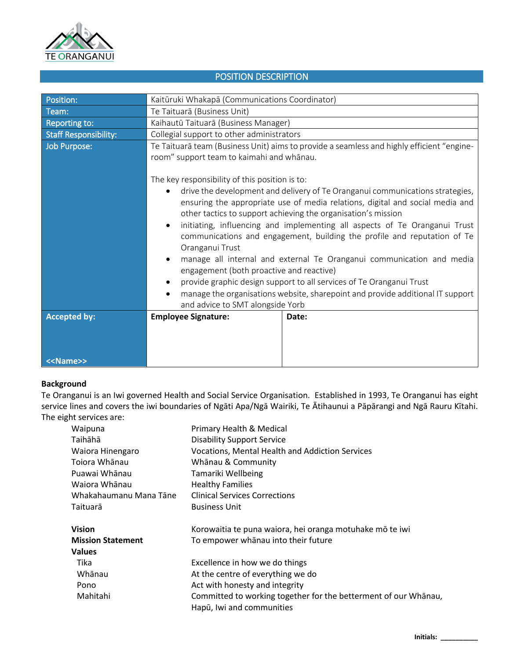

# POSITION DESCRIPTION

| Position:                    | Kaitūruki Whakapā (Communications Coordinator)                                                                                                                                                                                                                                                                                                                                                                                                                                                                                                                                                                                                                                                                                                                         |       |  |
|------------------------------|------------------------------------------------------------------------------------------------------------------------------------------------------------------------------------------------------------------------------------------------------------------------------------------------------------------------------------------------------------------------------------------------------------------------------------------------------------------------------------------------------------------------------------------------------------------------------------------------------------------------------------------------------------------------------------------------------------------------------------------------------------------------|-------|--|
| Team:                        | Te Taituarā (Business Unit)                                                                                                                                                                                                                                                                                                                                                                                                                                                                                                                                                                                                                                                                                                                                            |       |  |
| Reporting to:                | Kaihautū Taituarā (Business Manager)                                                                                                                                                                                                                                                                                                                                                                                                                                                                                                                                                                                                                                                                                                                                   |       |  |
| <b>Staff Responsibility:</b> | Collegial support to other administrators                                                                                                                                                                                                                                                                                                                                                                                                                                                                                                                                                                                                                                                                                                                              |       |  |
| <b>Job Purpose:</b>          | Te Taituarā team (Business Unit) aims to provide a seamless and highly efficient "engine-<br>room" support team to kaimahi and whānau.                                                                                                                                                                                                                                                                                                                                                                                                                                                                                                                                                                                                                                 |       |  |
|                              | The key responsibility of this position is to:                                                                                                                                                                                                                                                                                                                                                                                                                                                                                                                                                                                                                                                                                                                         |       |  |
|                              | drive the development and delivery of Te Oranganui communications strategies,<br>ensuring the appropriate use of media relations, digital and social media and<br>other tactics to support achieving the organisation's mission<br>initiating, influencing and implementing all aspects of Te Oranganui Trust<br>$\bullet$<br>communications and engagement, building the profile and reputation of Te<br>Oranganui Trust<br>manage all internal and external Te Oranganui communication and media<br>$\bullet$<br>engagement (both proactive and reactive)<br>provide graphic design support to all services of Te Oranganui Trust<br>$\bullet$<br>manage the organisations website, sharepoint and provide additional IT support<br>and advice to SMT alongside Yorb |       |  |
| <b>Accepted by:</b>          | <b>Employee Signature:</b>                                                                                                                                                                                                                                                                                                                                                                                                                                                                                                                                                                                                                                                                                                                                             | Date: |  |
|                              |                                                                                                                                                                                                                                                                                                                                                                                                                                                                                                                                                                                                                                                                                                                                                                        |       |  |
| < <name>&gt;</name>          |                                                                                                                                                                                                                                                                                                                                                                                                                                                                                                                                                                                                                                                                                                                                                                        |       |  |

### **Background**

Te Oranganui is an Iwi governed Health and Social Service Organisation. Established in 1993, Te Oranganui has eight service lines and covers the iwi boundaries of Ngāti Apa/Ngā Wairiki, Te Ātihaunui a Pāpārangi and Ngā Rauru Kītahi. The eight services are:

| Waipuna                  | Primary Health & Medical                                        |  |
|--------------------------|-----------------------------------------------------------------|--|
| Taihāhā                  | <b>Disability Support Service</b>                               |  |
| Waiora Hinengaro         | <b>Vocations, Mental Health and Addiction Services</b>          |  |
| Toiora Whānau            | Whānau & Community                                              |  |
| Puawai Whānau            | Tamariki Wellbeing                                              |  |
| Waiora Whānau            | <b>Healthy Families</b>                                         |  |
| Whakahaumanu Mana Tāne   | <b>Clinical Services Corrections</b>                            |  |
| Taituarā                 | <b>Business Unit</b>                                            |  |
|                          |                                                                 |  |
| <b>Vision</b>            | Korowaitia te puna waiora, hei oranga motuhake mō te iwi        |  |
| <b>Mission Statement</b> | To empower whanau into their future                             |  |
| <b>Values</b>            |                                                                 |  |
| Tika                     | Excellence in how we do things                                  |  |
| Whānau                   | At the centre of everything we do                               |  |
| Pono                     | Act with honesty and integrity                                  |  |
| Mahitahi                 | Committed to working together for the betterment of our Whanau, |  |
|                          |                                                                 |  |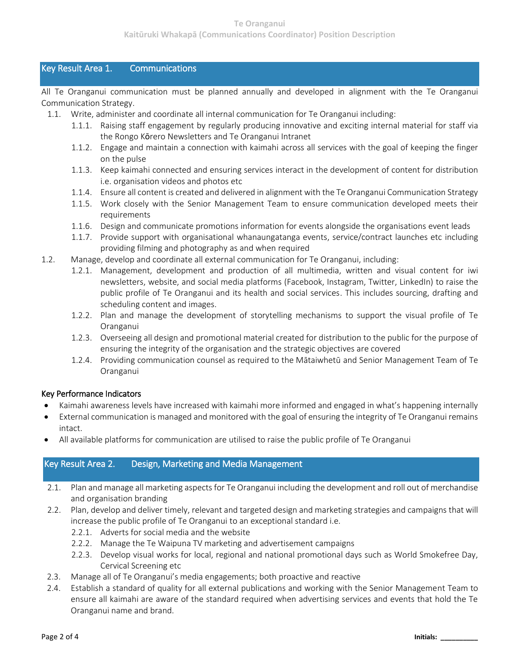### **Te Oranganui Kaitūruki Whakapā (Communications Coordinator) Position Description**

# Key Result Area 1. Communications

All Te Oranganui communication must be planned annually and developed in alignment with the Te Oranganui Communication Strategy.

- 1.1. Write, administer and coordinate all internal communication for Te Oranganui including:
	- 1.1.1. Raising staff engagement by regularly producing innovative and exciting internal material for staff via the Rongo Kōrero Newsletters and Te Oranganui Intranet
	- 1.1.2. Engage and maintain a connection with kaimahi across all services with the goal of keeping the finger on the pulse
	- 1.1.3. Keep kaimahi connected and ensuring services interact in the development of content for distribution i.e. organisation videos and photos etc
	- 1.1.4. Ensure all content is created and delivered in alignment with the Te Oranganui Communication Strategy
	- 1.1.5. Work closely with the Senior Management Team to ensure communication developed meets their requirements
	- 1.1.6. Design and communicate promotions information for events alongside the organisations event leads
	- 1.1.7. Provide support with organisational whanaungatanga events, service/contract launches etc including providing filming and photography as and when required
- 1.2. Manage, develop and coordinate all external communication for Te Oranganui, including:
	- 1.2.1. Management, development and production of all multimedia, written and visual content for iwi newsletters, website, and social media platforms (Facebook, Instagram, Twitter, LinkedIn) to raise the public profile of Te Oranganui and its health and social services. This includes sourcing, drafting and scheduling content and images.
	- 1.2.2. Plan and manage the development of storytelling mechanisms to support the visual profile of Te Oranganui
	- 1.2.3. Overseeing all design and promotional material created for distribution to the public for the purpose of ensuring the integrity of the organisation and the strategic objectives are covered
	- 1.2.4. Providing communication counsel as required to the Mātaiwhetū and Senior Management Team of Te Oranganui

## Key Performance Indicators

- Kaimahi awareness levels have increased with kaimahi more informed and engaged in what's happening internally
- External communication is managed and monitored with the goal of ensuring the integrity of Te Oranganui remains intact.
- All available platforms for communication are utilised to raise the public profile of Te Oranganui

## Key Result Area 2. Design, Marketing and Media Management

- 2.1. Plan and manage all marketing aspects for Te Oranganui including the development and roll out of merchandise and organisation branding
- 2.2. Plan, develop and deliver timely, relevant and targeted design and marketing strategies and campaigns that will increase the public profile of Te Oranganui to an exceptional standard i.e.
	- 2.2.1. Adverts for social media and the website
	- 2.2.2. Manage the Te Waipuna TV marketing and advertisement campaigns
	- 2.2.3. Develop visual works for local, regional and national promotional days such as World Smokefree Day, Cervical Screening etc
- 2.3. Manage all of Te Oranganui's media engagements; both proactive and reactive
- 2.4. Establish a standard of quality for all external publications and working with the Senior Management Team to ensure all kaimahi are aware of the standard required when advertising services and events that hold the Te Oranganui name and brand.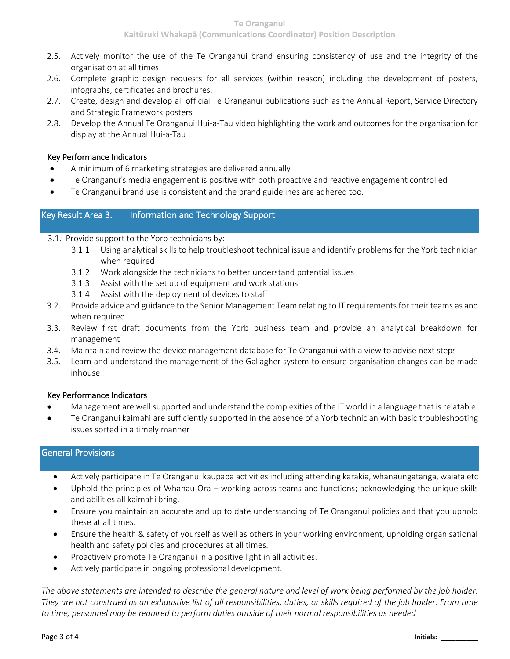- 2.5. Actively monitor the use of the Te Oranganui brand ensuring consistency of use and the integrity of the organisation at all times
- 2.6. Complete graphic design requests for all services (within reason) including the development of posters, infographs, certificates and brochures.
- 2.7. Create, design and develop all official Te Oranganui publications such as the Annual Report, Service Directory and Strategic Framework posters
- 2.8. Develop the Annual Te Oranganui Hui-a-Tau video highlighting the work and outcomes for the organisation for display at the Annual Hui-a-Tau

#### Key Performance Indicators

- A minimum of 6 marketing strategies are delivered annually
- Te Oranganui's media engagement is positive with both proactive and reactive engagement controlled
- Te Oranganui brand use is consistent and the brand guidelines are adhered too.

# Key Result Area 3. Information and Technology Support

- 3.1. Provide support to the Yorb technicians by:
	- 3.1.1. Using analytical skills to help troubleshoot technical issue and identify problems for the Yorb technician when required
	- 3.1.2. Work alongside the technicians to better understand potential issues
	- 3.1.3. Assist with the set up of equipment and work stations
	- 3.1.4. Assist with the deployment of devices to staff
- 3.2. Provide advice and guidance to the Senior Management Team relating to IT requirements for their teams as and when required
- 3.3. Review first draft documents from the Yorb business team and provide an analytical breakdown for management
- 3.4. Maintain and review the device management database for Te Oranganui with a view to advise next steps
- 3.5. Learn and understand the management of the Gallagher system to ensure organisation changes can be made inhouse

## Key Performance Indicators

- Management are well supported and understand the complexities of the IT world in a language that is relatable.
- Te Oranganui kaimahi are sufficiently supported in the absence of a Yorb technician with basic troubleshooting issues sorted in a timely manner

# General Provisions

- Actively participate in Te Oranganui kaupapa activities including attending karakia, whanaungatanga, waiata etc
- Uphold the principles of Whanau Ora working across teams and functions; acknowledging the unique skills and abilities all kaimahi bring.
- Ensure you maintain an accurate and up to date understanding of Te Oranganui policies and that you uphold these at all times.
- Ensure the health & safety of yourself as well as others in your working environment, upholding organisational health and safety policies and procedures at all times.
- Proactively promote Te Oranganui in a positive light in all activities.
- Actively participate in ongoing professional development.

*The above statements are intended to describe the general nature and level of work being performed by the job holder. They are not construed as an exhaustive list of all responsibilities, duties, or skills required of the job holder. From time to time, personnel may be required to perform duties outside of their normal responsibilities as needed*